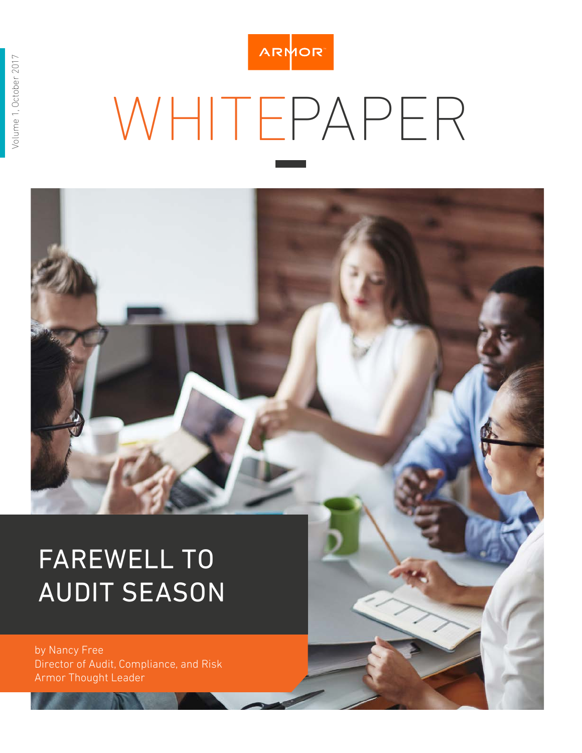

# WHITEPAPER

# FAREWELL TO AUDIT SEASON

by Nancy Free Director of Audit, Compliance, and Risk Armor Thought Leader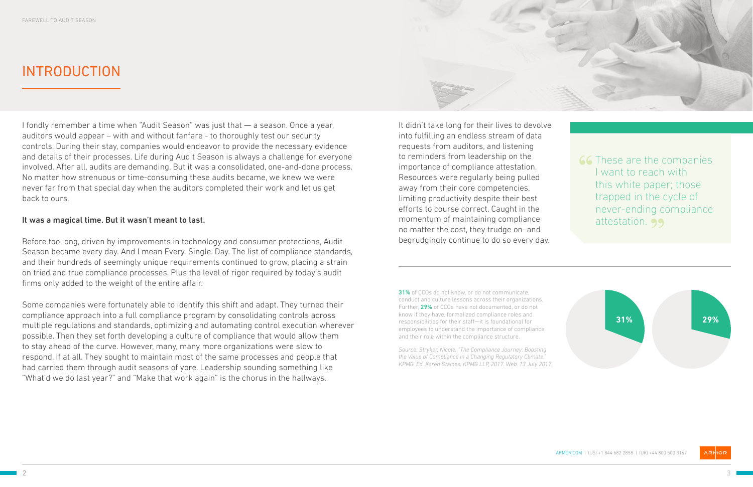

**66** These are the companies I want to reach with this white paper; those trapped in the cycle of never-ending compliance attestation. 99



# INTRODUCTION

I fondly remember a time when "Audit Season" was just that — a season. Once a year, auditors would appear – with and without fanfare - to thoroughly test our security controls. During their stay, companies would endeavor to provide the necessary evidence and details of their processes. Life during Audit Season is always a challenge for everyone involved. After all, audits are demanding. But it was a consolidated, one-and-done process. No matter how strenuous or time-consuming these audits became, we knew we were never far from that special day when the auditors completed their work and let us get back to ours.

#### It was a magical time. But it wasn't meant to last.

Before too long, driven by improvements in technology and consumer protections, Audit Season became every day. And I mean Every. Single. Day. The list of compliance standards, and their hundreds of seemingly unique requirements continued to grow, placing a strain on tried and true compliance processes. Plus the level of rigor required by today's audit firms only added to the weight of the entire affair.

> **31%** of CCOs do not know, or do not communicate, conduct and culture lessons across their organizations. Further, 29% of CCOs have not documented, or do not know if they have, formalized compliance roles and responsibilities for their staff—it is foundational for employees to understand the importance of compliance and their role within the compliance structure.

Some companies were fortunately able to identify this shift and adapt. They turned their compliance approach into a full compliance program by consolidating controls across multiple regulations and standards, optimizing and automating control execution wherever possible. Then they set forth developing a culture of compliance that would allow them to stay ahead of the curve. However, many, many more organizations were slow to respond, if at all. They sought to maintain most of the same processes and people that had carried them through audit seasons of yore. Leadership sounding something like "What'd we do last year?" and "Make that work again" is the chorus in the hallways.

It didn't take long for their lives to devolve into fulfilling an endless stream of data requests from auditors, and listening to reminders from leadership on the importance of compliance attestation. Resources were regularly being pulled away from their core competencies, limiting productivity despite their best efforts to course correct. Caught in the momentum of maintaining compliance no matter the cost, they trudge on–and begrudgingly continue to do so every day.

*Source: Stryker, Nicole. "The Compliance Journey: Boosting the Value of Compliance in a Changing Regulatory Climate." KPMG. Ed. Karen Staines. KPMG LLP, 2017. Web. 13 July 2017.*

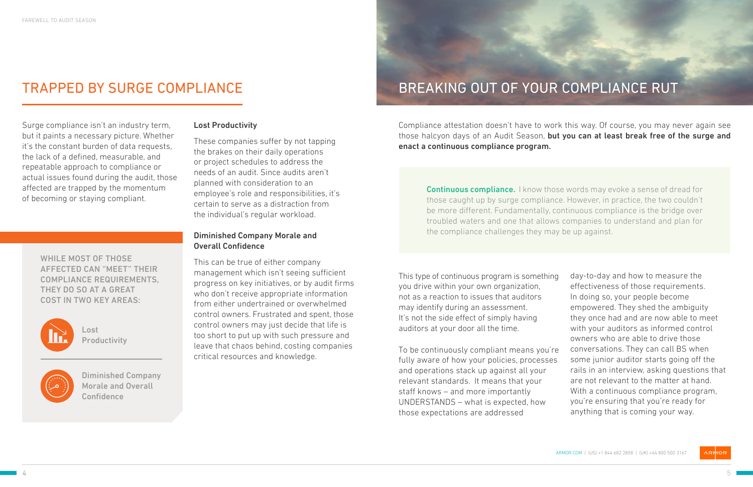Surge compliance isn't an industry term, but it paints a necessary picture. Whether it's the constant burden of data requests, the lack of a defined, measurable, and repeatable approach to compliance or actual issues found during the audit, those affected are trapped by the momentum of becoming or staying compliant.

# BREAKING OUT OF YOUR COMPLIANCE RUT

Compliance attestation doesn't have to work this way. Of course, you may never again see those halcyon days of an Audit Season, but you can at least break free of the surge and enact a continuous compliance program.

This type of continuous program is something you drive within your own organization, not as a reaction to issues that auditors may identify during an assessment. It's not the side effect of simply having auditors at your door all the time.

To be continuously compliant means you're fully aware of how your policies, processes and operations stack up against all your relevant standards. It means that your staff knows – and more importantly UNDERSTANDS – what is expected, how those expectations are addressed

Diminished Company Morale and Overall **Confidence** 

day-to-day and how to measure the effectiveness of those requirements. In doing so, your people become empowered. They shed the ambiguity they once had and are now able to meet with your auditors as informed control owners who are able to drive those conversations. They can call BS when some junior auditor starts going off the rails in an interview, asking questions that are not relevant to the matter at hand. With a continuous compliance program, you're ensuring that you're ready for anything that is coming your way.

**Continuous compliance.** I know those words may evoke a sense of dread for those caught up by surge compliance. However, in practice, the two couldn't be more different. Fundamentally, continuous compliance is the bridge over troubled waters and one that allows companies to understand and plan for the compliance challenges they may be up against.

#### Lost Productivity

These companies suffer by not tapping the brakes on their daily operations or project schedules to address the needs of an audit. Since audits aren't planned with consideration to an employee's role and responsibilities, it's certain to serve as a distraction from the individual's regular workload.

### Diminished Company Morale and Overall Confidence

This can be true of either company management which isn't seeing sufficient progress on key initiatives, or by audit firms who don't receive appropriate information from either undertrained or overwhelmed control owners. Frustrated and spent, those control owners may just decide that life is too short to put up with such pressure and leave that chaos behind, costing companies critical resources and knowledge.

Lost Productivity



# TRAPPED BY SURGE COMPLIANCE

WHILE MOST OF THOSE AFFECTED CAN "MEET" THEIR COMPLIANCE REQUIREMENTS, THEY DO SO AT A GREAT COST IN TWO KEY AREAS:

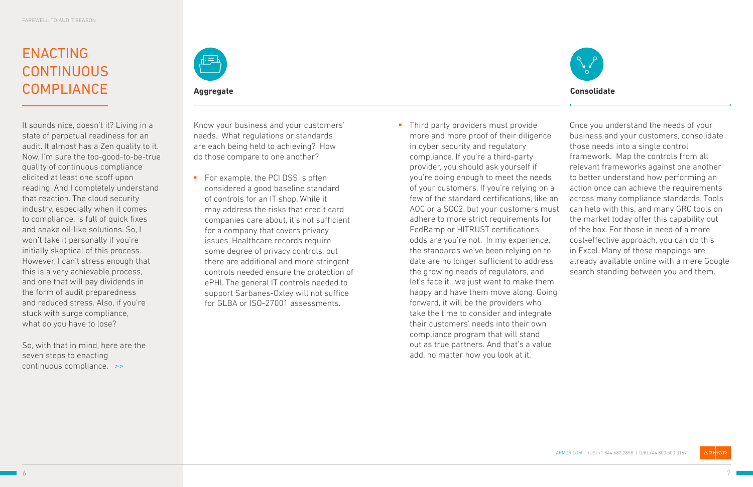ARMOR.COM | (US) +1 844 682 2858 | (UK) +44 800 500 3167



# ENACTING **CONTINUOUS COMPLIANCE**



It sounds nice, doesn't it? Living in a state of perpetual readiness for an audit. It almost has a Zen quality to it. Now, I'm sure the too-good-to-be-true quality of continuous compliance elicited at least one scoff upon reading. And I completely understand that reaction. The cloud security industry, especially when it comes to compliance, is full of quick fixes and snake oil-like solutions. So, I won't take it personally if you're initially skeptical of this process. However, I can't stress enough that this is a very achievable process, and one that will pay dividends in the form of audit preparedness and reduced stress. Also, if you're stuck with surge compliance, what do you have to lose?

So, with that in mind, here are the seven steps to enacting continuous compliance. >>



Know your business and your customers' needs. What regulations or standards are each being held to achieving? How do those compare to one another?

- For example, the PCI DSS is often considered a good baseline standard of controls for an IT shop. While it may address the risks that credit card companies care about, it's not sufficient for a company that covers privacy issues. Healthcare records require some degree of privacy controls, but there are additional and more stringent controls needed ensure the protection of ePHI. The general IT controls needed to support Sarbanes-Oxley will not suffice for GLBA or ISO-27001 assessments.
- Third party providers must provide more and more proof of their diligence in cyber security and regulatory compliance. If you're a third-party provider, you should ask yourself if you're doing enough to meet the needs of your customers. If you're relying on a few of the standard certifications, like an AOC or a SOC2, but your customers must adhere to more strict requirements for FedRamp or HITRUST certifications, odds are you're not. In my experience, the standards we've been relying on to date are no longer sufficient to address the growing needs of regulators, and let's face it…we just want to make them happy and have them move along. Going forward, it will be the providers who take the time to consider and integrate their customers' needs into their own compliance program that will stand out as true partners. And that's a value add, no matter how you look at it.

Once you understand the needs of your business and your customers, consolidate those needs into a single control framework. Map the controls from all relevant frameworks against one another to better understand how performing an action once can achieve the requirements across many compliance standards. Tools can help with this, and many GRC tools on the market today offer this capability out of the box. For those in need of a more cost-effective approach, you can do this in Excel. Many of these mappings are already available online with a mere Google search standing between you and them.

**Aggregate Consolidate**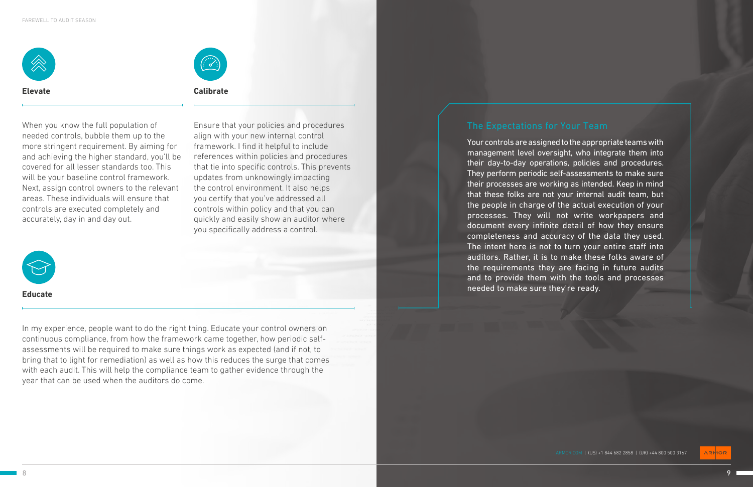ARMOR.COM | (US) +1 844 682 2858 | (UK) +44 800 500 3167





When you know the full population of needed controls, bubble them up to the more stringent requirement. By aiming for and achieving the higher standard, you'll be covered for all lesser standards too. This will be your baseline control framework. Next, assign control owners to the relevant areas. These individuals will ensure that controls are executed completely and accurately, day in and day out.

In my experience, people want to do the right thing. Educate your control owners on continuous compliance, from how the framework came together, how periodic selfassessments will be required to make sure things work as expected (and if not, to bring that to light for remediation) as well as how this reduces the surge that comes with each audit. This will help the compliance team to gather evidence through the year that can be used when the auditors do come.

Ensure that your policies and procedures align with your new internal control framework. I find it helpful to include references within policies and procedures that tie into specific controls. This prevents updates from unknowingly impacting the control environment. It also helps you certify that you've addressed all controls within policy and that you can quickly and easily show an auditor where you specifically address a control.



**Elevate**

**Educate**

**Calibrate**

Your controls are assigned to the appropriate teams with management level oversight, who integrate them into their day-to-day operations, policies and procedures. They perform periodic self-assessments to make sure their processes are working as intended. Keep in mind that these folks are not your internal audit team, but the people in charge of the actual execution of your processes. They will not write workpapers and document every infinite detail of how they ensure completeness and accuracy of the data they used. The intent here is not to turn your entire staff into auditors. Rather, it is to make these folks aware of the requirements they are facing in future audits and to provide them with the tools and processes needed to make sure they're ready.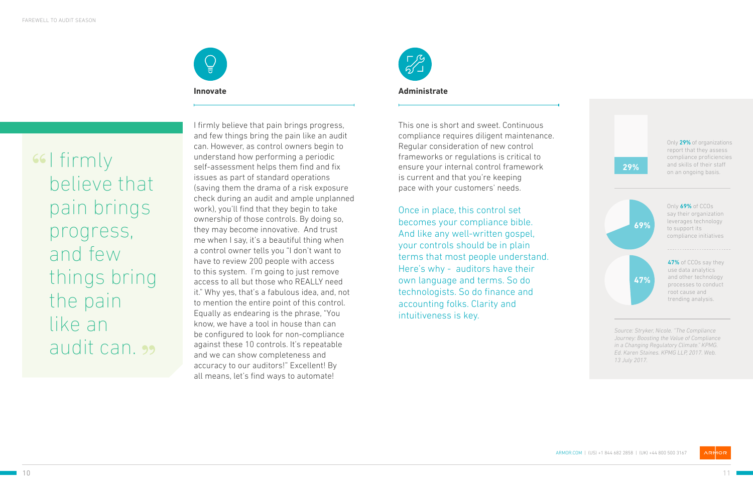



66 | firmly believe that pain brings progress, and few things bring the pain like an audit can.

I firmly believe that pain brings progress, and few things bring the pain like an audit can. However, as control owners begin to understand how performing a periodic self-assessment helps them find and fix issues as part of standard operations (saving them the drama of a risk exposure check during an audit and ample unplanned work), you'll find that they begin to take ownership of those controls. By doing so, they may become innovative. And trust me when I say, it's a beautiful thing when a control owner tells you "I don't want to have to review 200 people with access to this system. I'm going to just remove access to all but those who REALLY need it." Why yes, that's a fabulous idea, and, not to mention the entire point of this control. Equally as endearing is the phrase, "You know, we have a tool in house than can be configured to look for non-compliance against these 10 controls. It's repeatable and we can show completeness and accuracy to our auditors!" Excellent! By all means, let's find ways to automate!



**Innovate**

This one is short and sweet. Continuous compliance requires diligent maintenance. Regular consideration of new control frameworks or regulations is critical to ensure your internal control framework is current and that you're keeping pace with your customers' needs.

Once in place, this control set becomes your compliance bible. And like any well-written gospel, your controls should be in plain terms that most people understand. Here's why - auditors have their own language and terms. So do technologists. So do finance and accounting folks. Clarity and intuitiveness is key.

#### **Administrate**

*Journey: Boosting the Value of Compliance in a Changing Regulatory Climate." KPMG. Ed. Karen Staines. KPMG LLP, 2017. Web. 13 July 2017.*

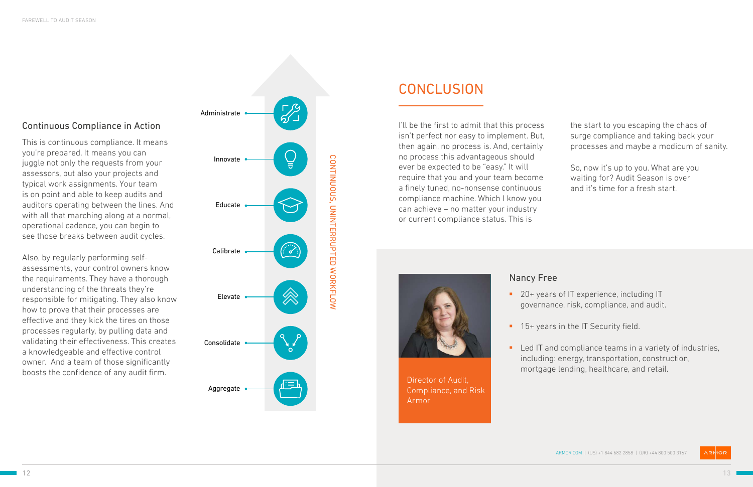### Nancy Free

- 
- 
- 

■ 20+ years of IT experience, including IT governance, risk, compliance, and audit.

**15+ years in the IT Security field.** 

**Led IT and compliance teams in a variety of industries,** including: energy, transportation, construction, mortgage lending, healthcare, and retail.



## **CONCLUSION**



### Continuous Compliance in Action

This is continuous compliance. It means you're prepared. It means you can juggle not only the requests from your assessors, but also your projects and typical work assignments. Your team is on point and able to keep audits and auditors operating between the lines. And with all that marching along at a normal, operational cadence, you can begin to see those breaks between audit cycles.

Also, by regularly performing selfassessments, your control owners know the requirements. They have a thorough understanding of the threats they're responsible for mitigating. They also know how to prove that their processes are effective and they kick the tires on those processes regularly, by pulling data and validating their effectiveness. This creates a knowledgeable and effective control owner. And a team of those significantly boosts the confidence of any audit firm.

Director of Audit, Compliance, and Risk Armor

I'll be the first to admit that this process isn't perfect nor easy to implement. But, then again, no process is. And, certainly no process this advantageous should ever be expected to be "easy." It will require that you and your team become a finely tuned, no-nonsense continuous compliance machine. Which I know you can achieve – no matter your industry or current compliance status. This is



the start to you escaping the chaos of surge compliance and taking back your processes and maybe a modicum of sanity.

So, now it's up to you. What are you waiting for? Audit Season is over and it's time for a fresh start.